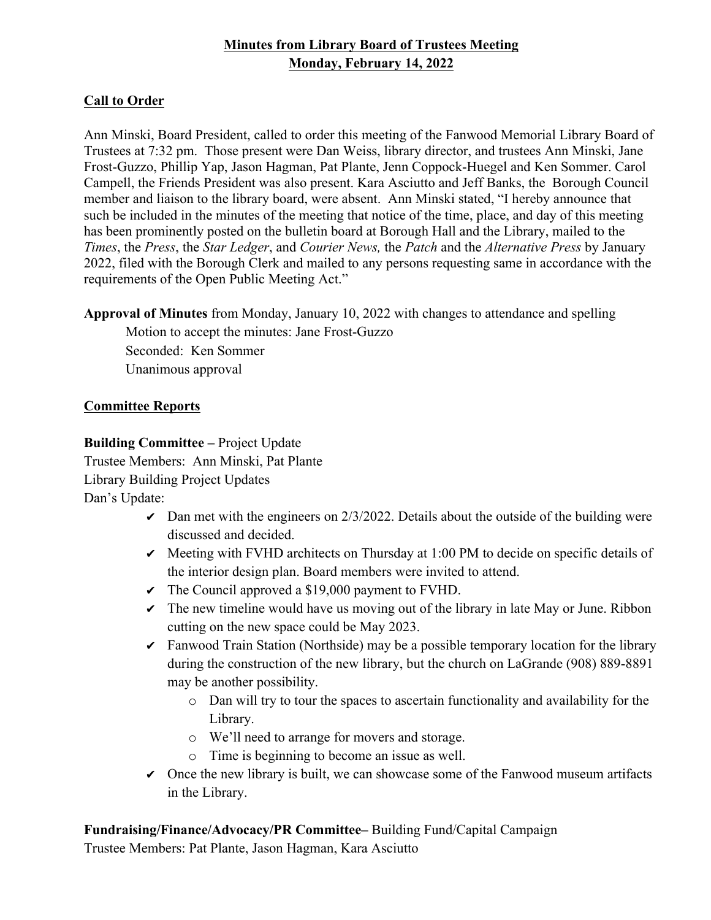## **Minutes from Library Board of Trustees Meeting Monday, February 14, 2022**

### **Call to Order**

Ann Minski, Board President, called to order this meeting of the Fanwood Memorial Library Board of Trustees at 7:32 pm. Those present were Dan Weiss, library director, and trustees Ann Minski, Jane Frost-Guzzo, Phillip Yap, Jason Hagman, Pat Plante, Jenn Coppock-Huegel and Ken Sommer. Carol Campell, the Friends President was also present. Kara Asciutto and Jeff Banks, the Borough Council member and liaison to the library board, were absent. Ann Minski stated, "I hereby announce that such be included in the minutes of the meeting that notice of the time, place, and day of this meeting has been prominently posted on the bulletin board at Borough Hall and the Library, mailed to the *Times*, the *Press*, the *Star Ledger*, and *Courier News,* the *Patch* and the *Alternative Press* by January 2022, filed with the Borough Clerk and mailed to any persons requesting same in accordance with the requirements of the Open Public Meeting Act."

**Approval of Minutes** from Monday, January 10, 2022 with changes to attendance and spelling

Motion to accept the minutes: Jane Frost-Guzzo Seconded: Ken Sommer Unanimous approval

### **Committee Reports**

**Building Committee –** Project Update Trustee Members: Ann Minski, Pat Plante Library Building Project Updates Dan's Update:

- $\triangleright$  Dan met with the engineers on 2/3/2022. Details about the outside of the building were discussed and decided.
- $\triangledown$  Meeting with FVHD architects on Thursday at 1:00 PM to decide on specific details of the interior design plan. Board members were invited to attend.
- $\triangledown$  The Council approved a \$19,000 payment to FVHD.
- $\triangledown$  The new timeline would have us moving out of the library in late May or June. Ribbon cutting on the new space could be May 2023.
- ✔ Fanwood Train Station (Northside) may be a possible temporary location for the library during the construction of the new library, but the church on LaGrande (908) 889-8891 may be another possibility.
	- o Dan will try to tour the spaces to ascertain functionality and availability for the Library.
	- o We'll need to arrange for movers and storage.
	- o Time is beginning to become an issue as well.
- $\triangledown$  Once the new library is built, we can showcase some of the Fanwood museum artifacts in the Library.

**Fundraising/Finance/Advocacy/PR Committee–** Building Fund/Capital Campaign

Trustee Members: Pat Plante, Jason Hagman, Kara Asciutto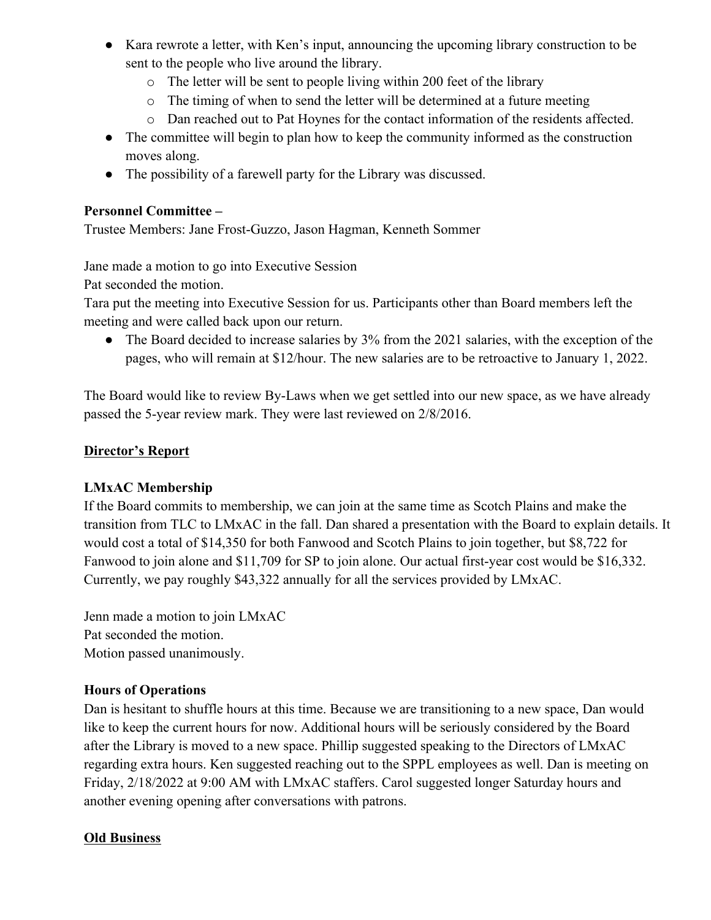- Kara rewrote a letter, with Ken's input, announcing the upcoming library construction to be sent to the people who live around the library.
	- o The letter will be sent to people living within 200 feet of the library
	- o The timing of when to send the letter will be determined at a future meeting
	- o Dan reached out to Pat Hoynes for the contact information of the residents affected.
- The committee will begin to plan how to keep the community informed as the construction moves along.
- The possibility of a farewell party for the Library was discussed.

## **Personnel Committee –**

Trustee Members: Jane Frost-Guzzo, Jason Hagman, Kenneth Sommer

Jane made a motion to go into Executive Session

Pat seconded the motion.

Tara put the meeting into Executive Session for us. Participants other than Board members left the meeting and were called back upon our return.

• The Board decided to increase salaries by 3% from the 2021 salaries, with the exception of the pages, who will remain at \$12/hour. The new salaries are to be retroactive to January 1, 2022.

The Board would like to review By-Laws when we get settled into our new space, as we have already passed the 5-year review mark. They were last reviewed on 2/8/2016.

## **Director's Report**

# **LMxAC Membership**

If the Board commits to membership, we can join at the same time as Scotch Plains and make the transition from TLC to LMxAC in the fall. Dan shared a presentation with the Board to explain details. It would cost a total of \$14,350 for both Fanwood and Scotch Plains to join together, but \$8,722 for Fanwood to join alone and \$11,709 for SP to join alone. Our actual first-year cost would be \$16,332. Currently, we pay roughly \$43,322 annually for all the services provided by LMxAC.

Jenn made a motion to join LMxAC Pat seconded the motion. Motion passed unanimously.

## **Hours of Operations**

Dan is hesitant to shuffle hours at this time. Because we are transitioning to a new space, Dan would like to keep the current hours for now. Additional hours will be seriously considered by the Board after the Library is moved to a new space. Phillip suggested speaking to the Directors of LMxAC regarding extra hours. Ken suggested reaching out to the SPPL employees as well. Dan is meeting on Friday, 2/18/2022 at 9:00 AM with LMxAC staffers. Carol suggested longer Saturday hours and another evening opening after conversations with patrons.

# **Old Business**